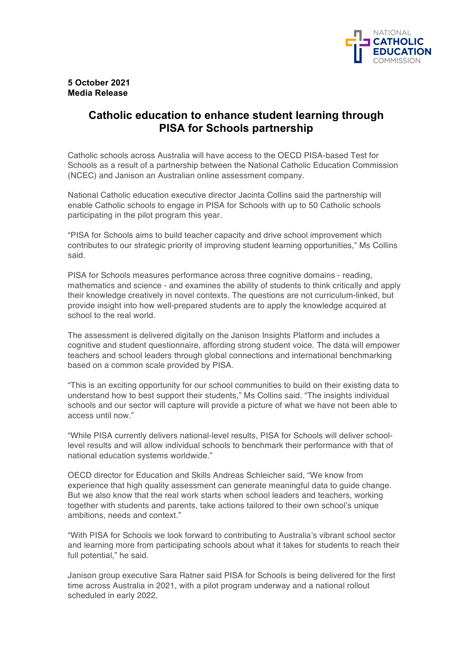

## **5 October 2021 Media Release**

## **Catholic education to enhance student learning through PISA for Schools partnership**

Catholic schools across Australia will have access to the OECD PISA-based Test for Schools as a result of a partnership between the National Catholic Education Commission (NCEC) and Janison an Australian online assessment company.

National Catholic education executive director Jacinta Collins said the partnership will enable Catholic schools to engage in PISA for Schools with up to 50 Catholic schools participating in the pilot program this year.

"PISA for Schools aims to build teacher capacity and drive school improvement which contributes to our strategic priority of improving student learning opportunities," Ms Collins said.

PISA for Schools measures performance across three cognitive domains - reading, mathematics and science - and examines the ability of students to think critically and apply their knowledge creatively in novel contexts. The questions are not curriculum-linked, but provide insight into how well-prepared students are to apply the knowledge acquired at school to the real world.

The assessment is delivered digitally on the Janison Insights Platform and includes a cognitive and student questionnaire, affording strong student voice. The data will empower teachers and school leaders through global connections and international benchmarking based on a common scale provided by PISA.

"This is an exciting opportunity for our school communities to build on their existing data to understand how to best support their students," Ms Collins said. "The insights individual schools and our sector will capture will provide a picture of what we have not been able to access until now."

"While PISA currently delivers national-level results, PISA for Schools will deliver schoollevel results and will allow individual schools to benchmark their performance with that of national education systems worldwide."

OECD director for Education and Skills Andreas Schleicher said, "We know from experience that high quality assessment can generate meaningful data to guide change. But we also know that the real work starts when school leaders and teachers, working together with students and parents, take actions tailored to their own school's unique ambitions, needs and context."

"With PISA for Schools we look forward to contributing to Australia's vibrant school sector and learning more from participating schools about what it takes for students to reach their full potential," he said.

Janison group executive Sara Ratner said PISA for Schools is being delivered for the first time across Australia in 2021, with a pilot program underway and a national rollout scheduled in early 2022.